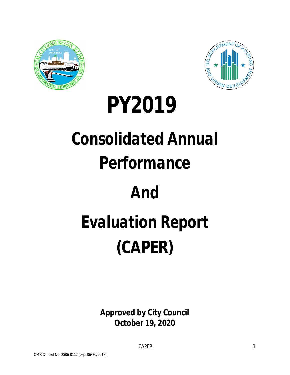



## *PY2019*

# *Consolidated Annual*

### *Performance*

### *And*

# *Evaluation Report* **(CAPER)**

**Approved by City Council October 19, 2020**

CAPER 2012 1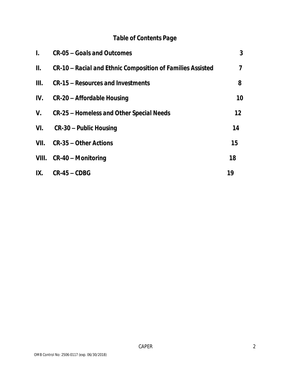#### *Table of Contents Page*

| $\mathbf{L}$ | CR-05 – Goals and Outcomes                                 | 3                 |
|--------------|------------------------------------------------------------|-------------------|
| II.          | CR-10 – Racial and Ethnic Composition of Families Assisted | 7                 |
| Ш.           | CR-15 – Resources and Investments                          | 8                 |
| IV.          | CR-20 – Affordable Housing                                 | 10                |
|              | V. CR-25 – Homeless and Other Special Needs                | $12 \overline{ }$ |
| VI.          | CR-30 – Public Housing                                     | 14                |
| VII.         | CR-35 – Other Actions                                      | 15                |
|              | VIII. CR-40 – Monitoring                                   | 18                |
| IX.          | CR-45 – CDBG                                               | 19                |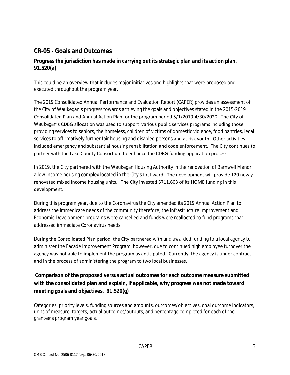#### **CR-05 - Goals and Outcomes**

#### **Progress the jurisdiction has made in carrying out its strategic plan and its action plan. 91.520(a)**

This could be an overview that includes major initiatives and highlights that were proposed and executed throughout the program year.

The 2019 Consolidated Annual Performance and Evaluation Report (CAPER) provides an assessment of the City of Waukegan's progress towards achieving the goals and objectives stated in the 2015-2019 Consolidated Plan and Annual Action Plan for the program period 5/1/2019-4/30/2020. The City of Waukegan's CDBG allocation was used to support various public services programs including those providing services to seniors, the homeless, children of victims of domestic violence, food pantries, legal services to affirmatively further fair housing and disabled persons and at risk youth. Other activities included emergency and substantial housing rehabilitation and code enforcement. The City continues to partner with the Lake County Consortium to enhance the CDBG funding application process.

In 2019, the City partnered with the Waukegan Housing Authority in the renovation of Barnwell Manor, a low income housing complex located in the City's first ward. The development will provide 120 newly renovated mixed income housing units. The City invested \$711,603 of its HOME funding in this development.

During this program year, due to the Coronavirus the City amended its 2019 Annual Action Plan to address the immedicate needs of the community therefore, the Infrastructure Improvement and Economic Development programs were cancelled and funds were reallocted to fund programs that addressed immediate Coronavirus needs.

During the Consolidated Plan period, the City partnered with and awarded funding to a local agency to administer the Facade Improvement Program, however, due to continued high employee turnover the agency was not able to implement the program as anticipated. Currently, the agency is under contract and in the process of administering the program to two local businesses.

#### **Comparison of the proposed versus actual outcomes for each outcome measure submitted with the consolidated plan and explain, if applicable, why progress was not made toward meeting goals and objectives. 91.520(g)**

Categories, priority levels, funding sources and amounts, outcomes/objectives, goal outcome indicators, units of measure, targets, actual outcomes/outputs, and percentage completed for each of the grantee's program year goals.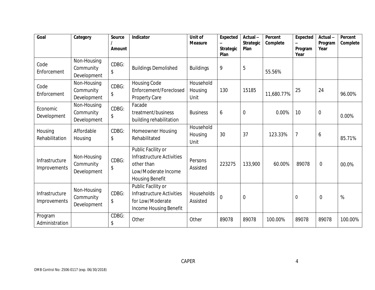| Goal                           | Category                                | Source<br><b>Amount</b> | Indicator                                                                                                      | Unit of<br><b>Measure</b>    | <b>Expected</b><br><b>Strategic</b><br>Plan | Actual-<br><b>Strategic</b><br>Plan | Percent<br>Complete | Expected<br>$\overline{\phantom{0}}$<br>Program<br>Year | Actual-<br>Program<br>Year | Percent<br>Complete |
|--------------------------------|-----------------------------------------|-------------------------|----------------------------------------------------------------------------------------------------------------|------------------------------|---------------------------------------------|-------------------------------------|---------------------|---------------------------------------------------------|----------------------------|---------------------|
| Code<br>Enforcement            | Non-Housing<br>Community<br>Development | CDBG:<br>\$             | <b>Buildings Demolished</b>                                                                                    | <b>Buildings</b>             | 9                                           | 5                                   | 55.56%              |                                                         |                            |                     |
| Code<br>Enforcement            | Non-Housing<br>Community<br>Development | CDBG:<br>\$             | <b>Housing Code</b><br>Enforcement/Foreclosed<br>Property Care                                                 | Household<br>Housing<br>Unit | 130                                         | 15185                               | 11,680.77%          | 25                                                      | 24                         | 96.00%              |
| Economic<br>Development        | Non-Housing<br>Community<br>Development | CDBG:<br>\$             | Facade<br>treatment/business<br>building rehabilitation                                                        | <b>Business</b>              | 6                                           | $\overline{0}$                      | 0.00%               | 10                                                      | $\theta$                   | 0.00%               |
| Housing<br>Rehabilitation      | Affordable<br>Housing                   | CDBG:<br>\$             | <b>Homeowner Housing</b><br>Rehabilitated                                                                      | Household<br>Housing<br>Unit | 30                                          | 37                                  | 123.33%             | $\overline{7}$                                          | 6                          | 85.71%              |
| Infrastructure<br>Improvements | Non-Housing<br>Community<br>Development | CDBG:<br>\$             | Public Facility or<br>Infrastructure Activities<br>other than<br>Low/Moderate Income<br><b>Housing Benefit</b> | Persons<br>Assisted          | 223275                                      | 133,900                             | 60.00%              | 89078                                                   | $\mathbf 0$                | 00.0%               |
| Infrastructure<br>Improvements | Non-Housing<br>Community<br>Development | CDBG:<br>\$             | Public Facility or<br>Infrastructure Activities<br>for Low/Moderate<br>Income Housing Benefit                  | Households<br>Assisted       | $\mathbf 0$                                 | $\overline{0}$                      |                     | $\mathbf 0$                                             | $\overline{0}$             | %                   |
| Program<br>Administration      |                                         | CDBG:<br>\$             | Other                                                                                                          | Other                        | 89078                                       | 89078                               | 100.00%             | 89078                                                   | 89078                      | 100.00%             |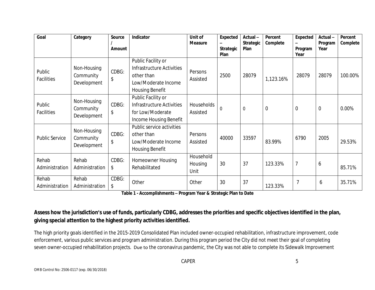| Goal                    | Category                                | Source<br>Amount | Indicator                                                                                                      | Unit of<br><b>Measure</b>    | Expected<br><b>Strategic</b><br><b>Plan</b> | Actual-<br><b>Strategic</b><br>Plan | Percent<br>Complete | Expected<br>Program<br>Year | Actual-<br>Program<br>Year | Percent<br>Complete |
|-------------------------|-----------------------------------------|------------------|----------------------------------------------------------------------------------------------------------------|------------------------------|---------------------------------------------|-------------------------------------|---------------------|-----------------------------|----------------------------|---------------------|
| Public<br>Facilities    | Non-Housing<br>Community<br>Development | CDBG:<br>\$      | Public Facility or<br>Infrastructure Activities<br>other than<br>Low/Moderate Income<br><b>Housing Benefit</b> | Persons<br>Assisted          | 2500                                        | 28079                               | 1,123.16%           | 28079                       | 28079                      | 100.00%             |
| Public<br>Facilities    | Non-Housing<br>Community<br>Development | CDBG:<br>\$      | Public Facility or<br>Infrastructure Activities<br>for Low/Moderate<br>Income Housing Benefit                  | Households<br>Assisted       | $\Omega$                                    | $\overline{0}$                      | $\mathbf 0$         | $\overline{0}$              | $\mathbf 0$                | 0.00%               |
| <b>Public Service</b>   | Non-Housing<br>Community<br>Development | CDBG:<br>\$      | Public service activities<br>other than<br>Low/Moderate Income<br><b>Housing Benefit</b>                       | Persons<br>Assisted          | 40000                                       | 33597                               | 83.99%              | 6790                        | 2005                       | 29.53%              |
| Rehab<br>Administration | Rehab<br>Administration                 | CDBG:<br>\$      | Homeowner Housing<br>Rehabilitated                                                                             | Household<br>Housing<br>Unit | 30                                          | 37                                  | 123.33%             | $\overline{7}$              | 6                          | 85.71%              |
| Rehab<br>Administration | Rehab<br>Administration                 | CDBG:<br>\$      | Other                                                                                                          | Other                        | 30                                          | 37                                  | 123.33%             |                             | 6                          | 35.71%              |

**Table 1 - Accomplishments – Program Year & Strategic Plan to Date**

#### **Assess how the jurisdiction's use of funds, particularly CDBG, addresses the priorities and specific objectives identified in the plan, giving special attention to the highest priority activities identified.**

The high priority goals identified in the 2015-2019 Consolidated Plan included owner-occupied rehabilitation, infrastructure improvement, code enforcement, various public services and program administration. During this program period the City did not meet their goal of completing seven owner-occupied rehabilitation projects. Due to the coronavirus pandemic, the City was not able to complete its Sidewalk Improvement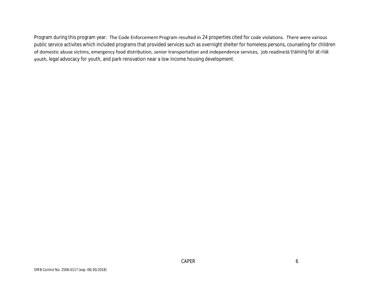Program during this program year. The Code Enforcement Program resulted in 24 properties cited for code violations. There were various public service activites which included programs that provided services such as overnight shelter for homeless persons, counseling for children of domestic abuse victims, emergency food distribution, senior transportation and independence services, job readiness training for at-risk youth, legal advocacy for youth, and park renovation near a low income housing development.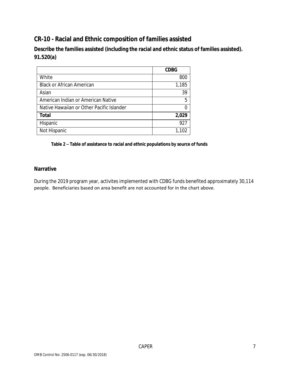#### **CR-10 - Racial and Ethnic composition of families assisted**

**Describe the families assisted (including the racial and ethnic status of families assisted). 91.520(a)** 

|                                           | <b>CDBG</b> |
|-------------------------------------------|-------------|
| White                                     | 800         |
| <b>Black or African American</b>          | 1,185       |
| Asian                                     | 39          |
| American Indian or American Native        | 5           |
| Native Hawaiian or Other Pacific Islander |             |
| <b>Total</b>                              | 2,029       |
| Hispanic                                  | 927         |
| Not Hispanic                              | 1,102       |

**Table 2 – Table of assistance to racial and ethnic populations by source of funds**

#### **Narrative**

During the 2019 program year, activites implemented with CDBG funds benefited approximately 30,114 people. Beneficiaries based on area benefit are not accounted for in the chart above.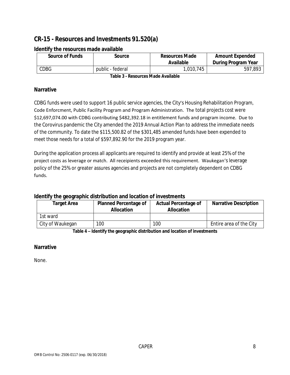#### **CR-15 - Resources and Investments 91.520(a)**

| <b>Source of Funds</b> | Source           | <b>Resources Made</b><br><b>Available</b> | <b>Amount Expended</b><br>During Program Year |
|------------------------|------------------|-------------------------------------------|-----------------------------------------------|
| CDBG                   | public - federal | 1,010,745                                 | 597,893                                       |

#### **Identify the resources made available**

**Table 3 - Resources Made Available**

#### **Narrative**

CDBG funds were used to support 16 public service agencies, the City's Housing Rehabilitation Program, Code Enforcment, Public Facility Program and Program Administration. The total projects cost were \$12,697,074.00 with CDBG contributing \$482,392.18 in entitlement funds and program income. Due to the Corovirus pandemic the City amended the 2019 Annual Action Plan to address the immediate needs of the community. To date the \$115,500.82 of the \$301,485 amended funds have been expended to meet those needs for a total of \$597,892.90 for the 2019 program year.

During the application process all applicants are required to identify and provide at least 25% of the project costs as leverage or match. All receipients exceeded this requirement. Waukegan's leverage policy of the 25% or greater assures agencies and projects are not completely dependent on CDBG funds.

#### **Identify the geographic distribution and location of investments**

| <b>Target Area</b> | <b>Planned Percentage of</b><br><b>Allocation</b> | <b>Actual Percentage of</b><br><b>Allocation</b> | <b>Narrative Description</b> |
|--------------------|---------------------------------------------------|--------------------------------------------------|------------------------------|
| 1st ward           |                                                   |                                                  |                              |
| City of Waukegan   | 100                                               | 100                                              | Entire area of the City      |

**Table 4 – Identify the geographic distribution and location of investments**

#### **Narrative**

None.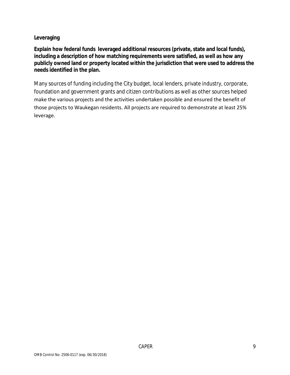#### **Leveraging**

**Explain how federal funds leveraged additional resources (private, state and local funds), including a description of how matching requirements were satisfied, as well as how any publicly owned land or property located within the jurisdiction that were used to address the needs identified in the plan.**

Many sources of funding including the City budget, local lenders, private industry, corporate, foundation and government grants and citizen contributions as well as other sources helped make the various projects and the activities undertaken possible and ensured the benefit of those projects to Waukegan residents. All projects are required to demonstrate at least 25% leverage.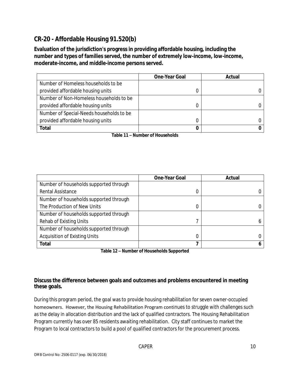#### **CR-20 - Affordable Housing 91.520(b)**

**Evaluation of the jurisdiction's progress in providing affordable housing, including the number and types of families served, the number of extremely low-income, low-income, moderate-income, and middle-income persons served.**

|                                          | <b>One-Year Goal</b> | Actual |
|------------------------------------------|----------------------|--------|
| Number of Homeless households to be      |                      |        |
| provided affordable housing units        |                      |        |
| Number of Non-Homeless households to be  |                      |        |
| provided affordable housing units        |                      |        |
| Number of Special-Needs households to be |                      |        |
| provided affordable housing units        |                      |        |
| <b>Total</b>                             |                      |        |

**Table 11 – Number of Households**

|                                        | <b>One-Year Goal</b> | Actual |
|----------------------------------------|----------------------|--------|
| Number of households supported through |                      |        |
| Rental Assistance                      | 0                    |        |
| Number of households supported through |                      |        |
| The Production of New Units            | 0                    |        |
| Number of households supported through |                      |        |
| Rehab of Existing Units                |                      |        |
| Number of households supported through |                      |        |
| Acquisition of Existing Units          | 0                    |        |
| <b>Total</b>                           |                      |        |

**Table 12 – Number of Households Supported**

#### **Discuss the difference between goals and outcomes and problems encountered in meeting these goals.**

During this program period, the goal was to provide housing rehabilitation for seven owner-occupied homeowners. However, the Housing Rehabilitation Program continues to struggle with challenges such as the delay in allocation distribution and the lack of qualified contractors. The Housing Rehabilitation Program currently has over 85 residents awaiting rehabilitation. City staff continues to market the Program to local contractors to build a pool of qualified contractors for the procurement process.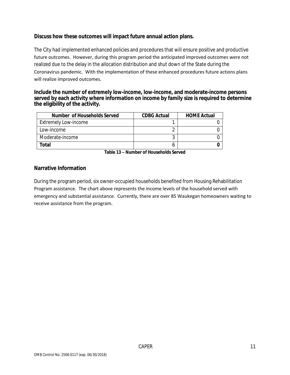#### **Discuss how these outcomes will impact future annual action plans.**

The City had implemented enhanced policies and procedures that will ensure positive and productive future outcomes. However, during this program period the anticipated improved outcomes were not realized due to the delay in the allocation distribution and shut down of the State during the Coronavirus pandemic. With the implementation of these enhanced procedures future actions plans will realize improved outcomes.

#### **Include the number of extremely low-income, low-income, and moderate-income persons served by each activity where information on income by family size is required to determine the eligibility of the activity.**

| Number of Households Served | <b>CDBG Actual</b> | <b>HOME Actual</b> |
|-----------------------------|--------------------|--------------------|
| <b>Extremely Low-income</b> |                    |                    |
| Low-income                  |                    |                    |
| Moderate-income             |                    |                    |
| Total                       |                    |                    |

**Table 13 – Number of Households Served**

#### **Narrative Information**

During the program period, six owner-occupied households benefited from Housing Rehabilitation Program assistance. The chart above represents the income levels of the household served with emergency and substantial assistance. Currently, there are over 85 Waukegan homeowners waiting to receive assistance from the program.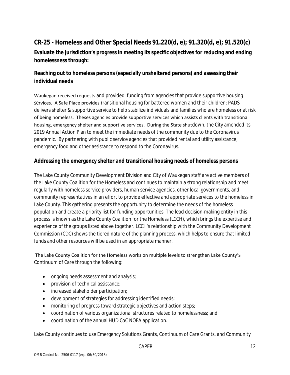#### **CR-25 - Homeless and Other Special Needs 91.220(d, e); 91.320(d, e); 91.520(c)**

**Evaluate the jurisdiction's progress in meeting its specific objectives for reducing and ending homelessness through:**

#### **Reaching out to homeless persons (especially unsheltered persons) and assessing their individual needs**

Waukegan received requests and provided funding from agencies that provide supportive housing services. A Safe Place provides transitional housing for battered women and their children; PADS delivers shelter & supportive service to help stabilize individuals and families who are homeless or at risk of being homeless. Theses agencies provide supportive services which assists clients with transitional housing, emergency shelter and supportive services. During the State shutdown, the City amended its 2019 Annual Action Plan to meet the immediate needs of the community due to the Coronavirus pandemic. By partnering with public service agencies that provided rental and utility assistance, emergency food and other assistance to respond to the Coronavirus.

#### **Addressing the emergency shelter and transitional housing needs of homeless persons**

The Lake County Community Development Division and City of Waukegan staff are active members of the Lake County Coalition for the Homeless and continues to maintain a strong relationship and meet regularly with homeless service providers, human service agencies, other local governments, and community representatives in an effort to provide effective and appropriate services to the homeless in Lake County. This gathering presents the opportunity to determine the needs of the homeless population and create a priority list for funding opportunities. The lead decision-making entity in this process is known as the Lake County Coalition for the Homeless (LCCH), which brings the expertise and experience of the groups listed above together. LCCH's relationship with the Community Development Commission (CDC) shows the tiered nature of the planning process, which helps to ensure that limited funds and other resources will be used in an appropriate manner.

#### The Lake County Coalition for the Homeless works on multiple levels to strengthen Lake County's Continuum of Care through the following:

- ongoing needs assessment and analysis;
- **•** provision of technical assistance;
- increased stakeholder participation;
- development of strategies for addressing identified needs;
- monitoring of progress toward strategic objectives and action steps;
- coordination of various organizational structures related to homelessness; and
- coordination of the annual HUD CoC NOFA application.

Lake County continues to use Emergency Solutions Grants, Continuum of Care Grants, and Community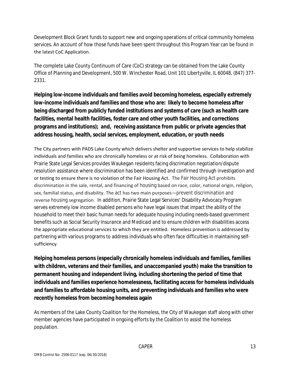Development Block Grant funds to support new and ongoing operations of critical community homeless services. An account of how those funds have been spent throughout this Program Year can be found in the latest CoC Application.

The complete Lake County Continuum of Care (CoC) strategy can be obtained from the Lake County Office of Planning and Development, 500 W. Winchester Road, Unit 101 Libertyville, IL 60048, (847) 377- 2331.

**Helping low-income individuals and families avoid becoming homeless, especially extremely low-income individuals and families and those who are: likely to become homeless after being discharged from publicly funded institutions and systems of care (such as health care facilities, mental health facilities, foster care and other youth facilities, and corrections programs and institutions); and, receiving assistance from public or private agencies that address housing, health, social services, employment, education, or youth needs**

The City partners with PADS Lake County which delivers shelter and supportive services to help stabilize individuals and families who are chronically homeless or at risk of being homeless. Collaboration with Prairie State Legal Services provides Waukegan residents facing discrimation negotiation/dispute resolution assistance where discrimination has been identified and confirmed through investigation and or testing to ensure there is no violation of the Fair Housing Act. The Fair Housing Act prohibits discrimination in the sale, rental, and financing of housing based on race, color, national origin, religion, sex, familial status, and disability. The act has two main purposes—prevent discrimination and reverse housing segregation. In addition, Prairie State Legal Services' Disability Advocacy Program serves extremely low income disabled persons who have legal issues that impact the ability of the household to meet their basic human needs for adequate housing including needs-based government benefits such as Social Security Insurance and Medicaid and to ensure children with disabilities access the appropriate educational services to which they are entitled. Homeless prevention is addressed by partnering with various programs to address individuals who often face difficulties in maintaining selfsufficiency.

**Helping homeless persons (especially chronically homeless individuals and families, families with children, veterans and their families, and unaccompanied youth) make the transition to permanent housing and independent living, including shortening the period of time that individuals and families experience homelessness, facilitating access for homeless individuals and families to affordable housing units, and preventing individuals and families who were recently homeless from becoming homeless again**

As members of the Lake County Coalition for the Homeless, the City of Waukegan staff along with other member agencies have participated in ongoing efforts by the Coalition to assist the homeless population.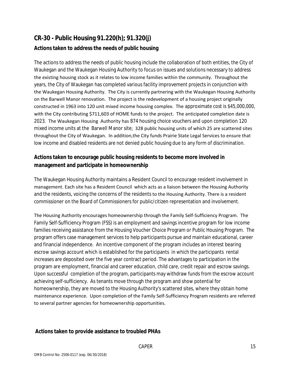#### **CR-30 - Public Housing 91.220(h); 91.320(j) Actions taken to address the needs of public housing**

The actions to address the needs of public housing include the collaboration of both entities, the City of Waukegan and the Waukegan Housing Authority to focus on issues and solutions necessary to address the existing housing stock as it relates to low income families within the community. Throughout the years, the City of Waukegan has completed various facility improvement projects in conjunction with the Waukegan Housing Authority. The City is currently partnering with the Waukegan Housing Authority on the Barwell Manor renovation. The project is the redevelopment of a housing project originally constructed in 1963 into 120 unit mixed income housing complex. The approximate cost is \$45,000,000, with the City contributing \$711,603 of HOME funds to the project. The anticipated completion date is 2023. The Waukegan Housing Authority has 874 housing choice vouchers and upon completion 120 mixed income units at the Barwell Manor site; 328 public housing units of which 25 are scattered sites throughout the City of Waukegan. In addition,the City funds Prairie State Legal Services to ensure that low income and disabled residents are not denied public housing due to any form of discrimination.

#### **Actions taken to encourage public housing residents to become more involved in management and participate in homeownership**

The Waukegan Housing Authority maintains a Resident Council to encourage resident involvement in management. Each site has a Resident Council which acts as a liaison between the Housing Authority and the residents, voicing the concerns of the residents to the Housing Authority. There is a resident commissioner on the Board of Commissioners for public/citizen representation and involvement.

The Housing Authority encourages homeownership through the Family Self-Sufficiency Program. The Family Self-Sufficiency Program (FSS) is an employment and savings incentive program for low income families receiving assistance from the Housing Voucher Choice Program or Public Housing Program. The program offers case management services to help participants pursue and maintain educational, career and financial independence. An incentive component of the program includes an interest bearing escrow savings account which is established for the participants in which the participants rental increases are deposited over the five year contract period. The advantages to participation in the program are employment, financial and career education, child care, credit repair and escrow savings. Upon successful completion of the program, participants may withdraw funds from the escrow account achieving self-sufficiency. As tenants move through the program and show potential for homeownership, they are moved to the Housing Authority's scattered sites, where they obtain home maintenance experience. Upon completion of the Family Self-Sufficiency Program residents are referred to several partner agencies for homeownership opportunities.

#### **Actions taken to provide assistance to troubled PHAs**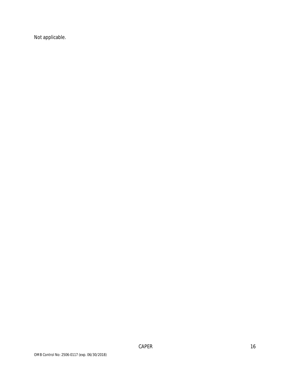Not applicable.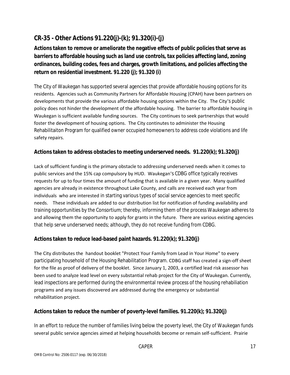#### **CR-35 - Other Actions 91.220(j)-(k); 91.320(i)-(j)**

**Actions taken to remove or ameliorate the negative effects of public policies that serve as barriers to affordable housing such as land use controls, tax policies affecting land, zoning ordinances, building codes, fees and charges, growth limitations, and policies affecting the return on residential investment. 91.220 (j); 91.320 (i)**

The City of Waukegan has supported several agencies that provide affordable housing options for its residents. Agencies such as Community Partners for Affordable Housing (CPAH) have been partners on developments that provide the various affordable housing options within the City. The City's public policy does not hinder the development of the affordable housing. The barrier to affordable housing in Waukegan is sufficient available funding sources. The City continues to seek partnerships that would foster the development of housing options. The City continutes to administer the Housing Rehabilitaiton Program for qualified owner occupied homeowners to address code violations and life safety repairs.

#### **Actions taken to address obstacles to meeting underserved needs. 91.220(k); 91.320(j)**

Lack of sufficient funding is the primary obstacle to addressing underserved needs when it comes to public services and the 15% cap compulsory by HUD. Waukegan's CDBG office typically receives requests for up to four times the amount of funding that is available in a given year. Many qualified agencies are already in existence throughout Lake County, and calls are received each year from individuals who are interested in starting various types of social service agencies to meet specific needs. These individuals are added to our distribution list for notification of funding availability and training opportunities by the Consortium; thereby, informing them of the process Waukegan adheres to and allowing them the opportunity to apply for grants in the future. There are various existing agencies that help serve underserved needs; although, they do not receive funding from CDBG.

#### **Actions taken to reduce lead-based paint hazards. 91.220(k); 91.320(j)**

The City distributes the handout booklet "Protect Your Family from Lead in Your Home" to every participating household of the Housing Rehabilitation Program. CDBG staff has created a sign-off sheet for the file as proof of delivery of the booklet. Since January 1, 2003, a certified lead risk assessor has been used to analyze lead level on every substantial rehab project for the City of Waukegan. Currently, lead inspections are performed during the environmental review process of the housing rehabiliation programs and any issues discovered are addressed during the emergency or substantial rehabilitation project.

#### **Actions taken to reduce the number of poverty-level families. 91.220(k); 91.320(j)**

In an effort to reduce the number of families living below the poverty level, the City of Waukegan funds several public service agencies aimed at helping households become or remain self-sufficient. Prairie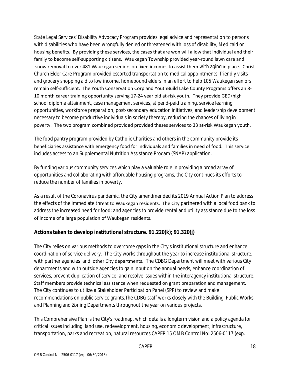State Legal Services' Disability Advocacy Program provides legal advice and representation to persons with disabilities who have been wrongfully denied or threatened with loss of disability, Medicaid or housing benefits. By providing these services, the cases that are won will allow that individual and their family to become self-supporting citizens. Waukegan Township provided year-round lawn care and snow removal to over 481 Waukegan seniors on fixed incomes to assist them with aging in place. Christ Church Elder Care Program provided escorted transportation to medical appointments, friendly visits and grocery shopping aid to low income, homebound elders in an effort to help 105 Waukegan seniors remain self-sufficient. The Youth Conservation Corp and YouthBuild Lake County Programs offers an 8- 10 month career training opportunity serving 17-24 year old at-risk youth. They provide GED/high school diploma attainment, case management services, stipend-paid training, service learning opportunities, workforce preparation, post-secondary education initiatives, and leadership development necessary to become productive individuals in society thereby, reducing the chances of living in poverty. The two program combined provided provided theses services to 33 at-risk Waukegan youth.

The food pantry program provided by Catholic Charities and others in the community provide its beneficiaries assistance with emergency food for individuals and families in need of food. This service includes access to an Supplemental Nutrition Assistance Progam (SNAP) application.

By funding various community services which play a valuable role in providing a broad array of opportunities and collaborating with affordable housing programs, the City continues its efforts to reduce the number of families in poverty.

As a result of the Coronavirus pandemic, the City amendmended its 2019 Annual Action Plan to address the effects of the immediate threat to Waukegan residents. The City partnered with a local food bank to address the increased need for food; and agencies to provide rental and utility assistance due to the loss of income of a large population of Waukegan residents.

#### **Actions taken to develop institutional structure. 91.220(k); 91.320(j)**

The City relies on various methods to overcome gaps in the City's institutional structure and enhance coordination of service delivery. The City works throughout the year to increase institutional structure, with partner agencies and other City departments. The CDBG Department will meet with various City departments and with outside agencies to gain input on the annual needs, enhance coordination of services, prevent duplication of service, and resolve issues within the interagency institutional structure. Staff members provide technical assistance when requested on grant preparation and management. The City continues to utilize a Stakeholder Participation Panel (SPP) to review and make recommendations on public service grants.The CDBG staff works closely with the Building, Public Works and Planning and Zoning Departments throughout the year on various projects.

This Comprehensive Plan is the City's roadmap, which details a longterm vision and a policy agenda for critical issues including: land use, redevelopment, housing, economic development, infrastructure, transportation, parks and recreation, natural resources CAPER 15 OMB Control No: 2506-0117 (exp.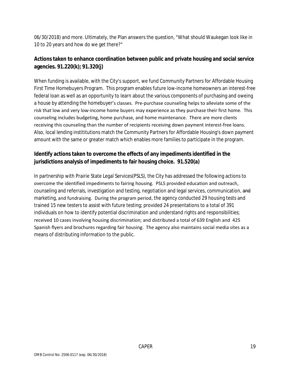06/30/2018) and more. Ultimately, the Plan answers the question, "What should Waukegan look like in 10 to 20 years and how do we get there?"

#### **Actions taken to enhance coordination between public and private housing and social service agencies. 91.220(k); 91.320(j)**

When funding is available, with the City's support, we fund Community Partners for Affordable Housing First Time Homebuyers Program. This program enables future low-income homeowners an interest-free federal loan as well as an opportunity to learn about the various components of purchasing and oweing a house by attending the homebuyer's classes. Pre-purchase counseling helps to alleviate some of the risk that low and very low-income home buyers may experience as they purchase their first home. This counseling includes budgeting, home purchase, and home maintenance. There are more clients receiving this counseling than the number of recipients receiving down payment interest-free loans. Also, local lending instititutions match the Community Partners for Affordable Housing's down payment amount with the same or greater match which enables more families to participate in the program.

#### **Identify actions taken to overcome the effects of any impediments identified in the jurisdictions analysis of impediments to fair housing choice. 91.520(a)**

In partnership with Prairie State Legal Services(PSLS), the City has addressed the following actions to overcome the identified impediments to fairing housing. PSLS provided education and outreach, counseling and referrals, investigation and testing, negotiation and legal services, communication, and marketing, and fundraising. During the program period, the agency conducted 29 housing tests and trained 15 new testers to assist with future testing; provided 24 presentations to a total of 391 individuals on how to identify potential discrimination and understand rights and responsibilities; received 10 cases involving housing discrimination; and distributed a total of 639 English and 425 Spanish flyers and brochures regarding fair housing. The agency also maintains social media sites as a means of distributing information to the public.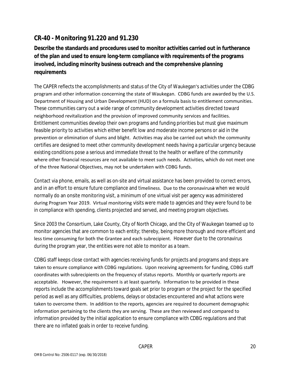#### **CR-40 - Monitoring 91.220 and 91.230**

**Describe the standards and procedures used to monitor activities carried out in furtherance of the plan and used to ensure long-term compliance with requirements of the programs involved, including minority business outreach and the comprehensive planning requirements**

The CAPER reflects the accomplishments and status of the City of Waukegan's activities under the CDBG program and other information concerning the state of Waukegan. CDBG funds are awarded by the U.S. Department of Housing and Urban Development (HUD) on a formula basis to entitlement communities. These communities carry out a wide range of community development activities directed toward neighborhood revitalization and the provision of improved community services and facilities. Entitlement communities develop their own programs and funding priorities but must give maximum feasible priority to activities which either benefit low and moderate income persons or aid in the prevention or elimination of slums and blight. Activities may also be carried out which the community certifies are designed to meet other community development needs having a particular urgency because existing conditions pose a serious and immediate threat to the health or welfare of the community where other financial resources are not available to meet such needs. Activities, which do not meet one of the three National Objectives, may not be undertaken with CDBG funds.

Contact via phone, emails, as well as on-site and virtual assistance has been provided to correct errors, and in an effort to ensure future compliance and timeliness. Due to the coronavirusa when we would normally do an onsite monitoring visit, a minimum of one virtual visit per agency was administered during Program Year 2019. Virtual monitoring visits were made to agencies and they were found to be in compliance with spending, clients projected and served, and meeting program objectives.

Since 2003 the Consortium, Lake County, City of North Chicago, and the City of Waukegan teamed up to monitor agencies that are common to each entity; thereby, being more thorough and more efficient and less time consuming for both the Grantee and each subrecipient. However due to the coronavirus during the program year, the entities were not able to monitor as a team.

CDBG staff keeps close contact with agencies receiving funds for projects and programs and steps are taken to ensure compliance with CDBG regulations. Upon receiving agreements for funding, CDBG staff coordinates with subrecipients on the frequency of status reports. Monthly or quarterly reports are acceptable. However, the requirement is at least quarterly. Information to be provided in these reports include the accomplishments toward goals set prior to program or the project for the specified period as well as any difficulties, problems, delays or obstacles encountered and what actions were taken to overcome them. In addition to the reports, agencies are required to document demographic information pertaining to the clients they are serving. These are then reviewed and compared to information provided by the initial application to ensure compliance with CDBG regulations and that there are no inflated goals in order to receive funding.